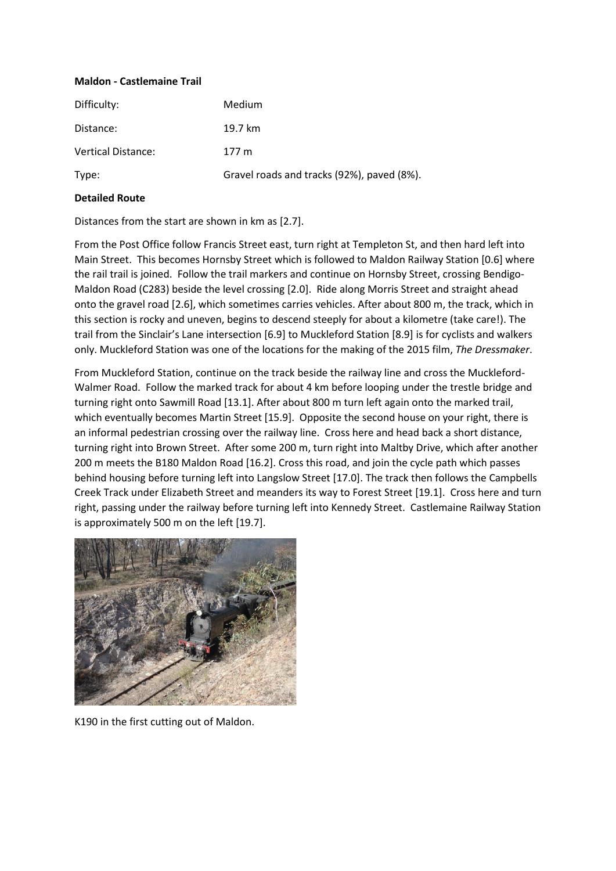## **Maldon - Castlemaine Trail**

| Difficulty:               | <b>Medium</b>                              |
|---------------------------|--------------------------------------------|
| Distance:                 | 19.7 km                                    |
| <b>Vertical Distance:</b> | $177 \text{ m}$                            |
| Type:                     | Gravel roads and tracks (92%), paved (8%). |

## **Detailed Route**

Distances from the start are shown in km as [2.7].

From the Post Office follow Francis Street east, turn right at Templeton St, and then hard left into Main Street. This becomes Hornsby Street which is followed to Maldon Railway Station [0.6] where the rail trail is joined. Follow the trail markers and continue on Hornsby Street, crossing Bendigo-Maldon Road (C283) beside the level crossing [2.0]. Ride along Morris Street and straight ahead onto the gravel road [2.6], which sometimes carries vehicles. After about 800 m, the track, which in this section is rocky and uneven, begins to descend steeply for about a kilometre (take care!). The trail from the Sinclair's Lane intersection [6.9] to Muckleford Station [8.9] is for cyclists and walkers only. Muckleford Station was one of the locations for the making of the 2015 film, *The Dressmaker*.

From Muckleford Station, continue on the track beside the railway line and cross the Muckleford-Walmer Road. Follow the marked track for about 4 km before looping under the trestle bridge and turning right onto Sawmill Road [13.1]. After about 800 m turn left again onto the marked trail, which eventually becomes Martin Street [15.9]. Opposite the second house on your right, there is an informal pedestrian crossing over the railway line. Cross here and head back a short distance, turning right into Brown Street. After some 200 m, turn right into Maltby Drive, which after another 200 m meets the B180 Maldon Road [16.2]. Cross this road, and join the cycle path which passes behind housing before turning left into Langslow Street [17.0]. The track then follows the Campbells Creek Track under Elizabeth Street and meanders its way to Forest Street [19.1]. Cross here and turn right, passing under the railway before turning left into Kennedy Street. Castlemaine Railway Station is approximately 500 m on the left [19.7].



K190 in the first cutting out of Maldon.